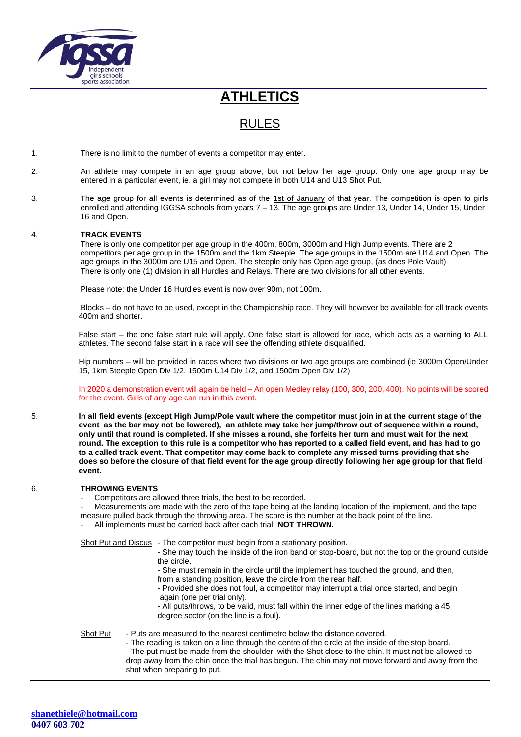

# **ATHLETICS**

## RULES

- 1. There is no limit to the number of events a competitor may enter.
- 2. An athlete may compete in an age group above, but not below her age group. Only one age group may be entered in a particular event, ie. a girl may not compete in both U14 and U13 Shot Put.
- 3. The age group for all events is determined as of the 1st of January of that year. The competition is open to girls enrolled and attending IGGSA schools from years 7 – 13. The age groups are Under 13, Under 14, Under 15, Under 16 and Open.

### 4. **TRACK EVENTS**

There is only one competitor per age group in the 400m, 800m, 3000m and High Jump events. There are 2 competitors per age group in the 1500m and the 1km Steeple. The age groups in the 1500m are U14 and Open. The age groups in the 3000m are U15 and Open. The steeple only has Open age group, (as does Pole Vault) There is only one (1) division in all Hurdles and Relays. There are two divisions for all other events.

Please note: the Under 16 Hurdles event is now over 90m, not 100m.

Blocks – do not have to be used, except in the Championship race. They will however be available for all track events 400m and shorter.

False start – the one false start rule will apply. One false start is allowed for race, which acts as a warning to ALL athletes. The second false start in a race will see the offending athlete disqualified.

Hip numbers – will be provided in races where two divisions or two age groups are combined (ie 3000m Open/Under 15, 1km Steeple Open Div 1/2, 1500m U14 Div 1/2, and 1500m Open Div 1/2)

In 2020 a demonstration event will again be held – An open Medley relay (100, 300, 200, 400). No points will be scored for the event. Girls of any age can run in this event.

5. **In all field events (except High Jump/Pole vault where the competitor must join in at the current stage of the event as the bar may not be lowered), an athlete may take her jump/throw out of sequence within a round, only until that round is completed. If she misses a round, she forfeits her turn and must wait for the next round. The exception to this rule is a competitor who has reported to a called field event, and has had to go to a called track event. That competitor may come back to complete any missed turns providing that she does so before the closure of that field event for the age group directly following her age group for that field event.**

#### 6. **THROWING EVENTS**

- Competitors are allowed three trials, the best to be recorded.
- Measurements are made with the zero of the tape being at the landing location of the implement, and the tape measure pulled back through the throwing area. The score is the number at the back point of the line.
- All implements must be carried back after each trial, **NOT THROWN.**

Shot Put and Discus - The competitor must begin from a stationary position.

- She may touch the inside of the iron band or stop-board, but not the top or the ground outside the circle.
- She must remain in the circle until the implement has touched the ground, and then,
- from a standing position, leave the circle from the rear half.
- Provided she does not foul, a competitor may interrupt a trial once started, and begin again (one per trial only).

- All puts/throws, to be valid, must fall within the inner edge of the lines marking a 45 degree sector (on the line is a foul).

Shot Put - Puts are measured to the nearest centimetre below the distance covered.

- The reading is taken on a line through the centre of the circle at the inside of the stop board. - The put must be made from the shoulder, with the Shot close to the chin. It must not be allowed to drop away from the chin once the trial has begun. The chin may not move forward and away from the shot when preparing to put.